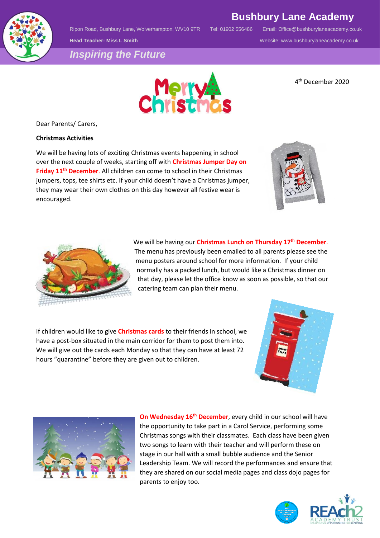

Ripon Road, Bushbury Lane, Wolverhampton, WV10 9TR Tel: 01902 556486 Email: [Office@bushburylaneacademy.co.uk](mailto:Office@bushburylaneacademy.co.uk)

**Bushbury Lane Academy**

**Head Teacher: Miss L Smith** Website: www.bushburylaneacademy.co.uk

*Inspiring the Future*



4 th December 2020

Dear Parents/ Carers,

## **Christmas Activities**

We will be having lots of exciting Christmas events happening in school over the next couple of weeks, starting off with **Christmas Jumper Day on Friday 11th December**. All children can come to school in their Christmas jumpers, tops, tee shirts etc. If your child doesn't have a Christmas jumper, they may wear their own clothes on this day however all festive wear is encouraged.



We will be having our **Christmas Lunch on Thursday 17th December**. The menu has previously been emailed to all parents please see the menu posters around school for more information. If your child normally has a packed lunch, but would like a Christmas dinner on that day, please let the office know as soon as possible, so that our catering team can plan their menu.

If children would like to give **Christmas cards** to their friends in school, we have a post-box situated in the main corridor for them to post them into. We will give out the cards each Monday so that they can have at least 72 hours "quarantine" before they are given out to children.





**On Wednesday 16th December**, every child in our school will have the opportunity to take part in a Carol Service, performing some Christmas songs with their classmates. Each class have been given two songs to learn with their teacher and will perform these on stage in our hall with a small bubble audience and the Senior Leadership Team. We will record the performances and ensure that they are shared on our social media pages and class dojo pages for parents to enjoy too.